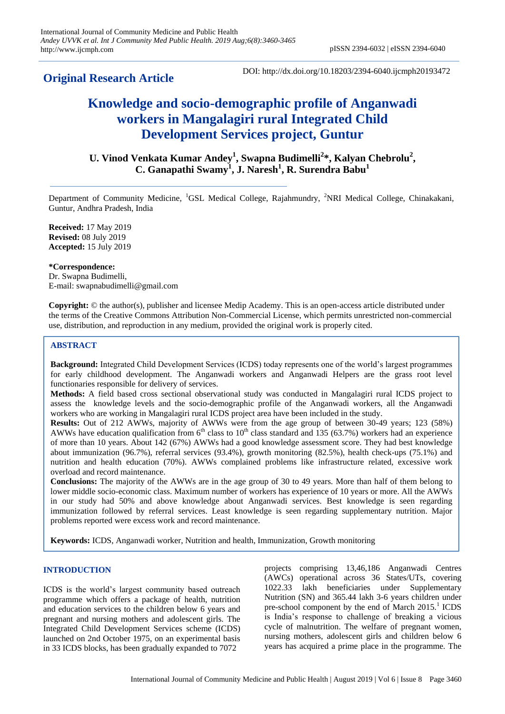## **Original Research Article**

DOI: http://dx.doi.org/10.18203/2394-6040.ijcmph20193472

# **Knowledge and socio-demographic profile of Anganwadi workers in Mangalagiri rural Integrated Child Development Services project, Guntur**

**U. Vinod Venkata Kumar Andey<sup>1</sup> , Swapna Budimelli<sup>2</sup> \*, Kalyan Chebrolu<sup>2</sup> , C. Ganapathi Swamy<sup>1</sup> , J. Naresh<sup>1</sup> , R. Surendra Babu<sup>1</sup>**

Department of Community Medicine, <sup>1</sup>GSL Medical College, Rajahmundry, <sup>2</sup>NRI Medical College, Chinakakani, Guntur, Andhra Pradesh, India

**Received:** 17 May 2019 **Revised:** 08 July 2019 **Accepted:** 15 July 2019

**\*Correspondence:** Dr. Swapna Budimelli, E-mail: swapnabudimelli@gmail.com

**Copyright:** © the author(s), publisher and licensee Medip Academy. This is an open-access article distributed under the terms of the Creative Commons Attribution Non-Commercial License, which permits unrestricted non-commercial use, distribution, and reproduction in any medium, provided the original work is properly cited.

## **ABSTRACT**

**Background:** Integrated Child Development Services (ICDS) today represents one of the world's largest programmes for early childhood development. The Anganwadi workers and Anganwadi Helpers are the grass root level functionaries responsible for delivery of services.

**Methods:** A field based cross sectional observational study was conducted in Mangalagiri rural ICDS project to assess the knowledge levels and the socio-demographic profile of the Anganwadi workers, all the Anganwadi workers who are working in Mangalagiri rural ICDS project area have been included in the study.

**Results:** Out of 212 AWWs, majority of AWWs were from the age group of between 30-49 years; 123 (58%) AWWs have education qualification from  $6<sup>th</sup>$  class to  $10<sup>th</sup>$  class standard and 135 (63.7%) workers had an experience of more than 10 years. About 142 (67%) AWWs had a good knowledge assessment score. They had best knowledge about immunization (96.7%), referral services (93.4%), growth monitoring (82.5%), health check-ups (75.1%) and nutrition and health education (70%). AWWs complained problems like infrastructure related, excessive work overload and record maintenance.

**Conclusions:** The majority of the AWWs are in the age group of 30 to 49 years. More than half of them belong to lower middle socio-economic class. Maximum number of workers has experience of 10 years or more. All the AWWs in our study had 50% and above knowledge about Anganwadi services. Best knowledge is seen regarding immunization followed by referral services. Least knowledge is seen regarding supplementary nutrition. Major problems reported were excess work and record maintenance.

**Keywords:** ICDS, Anganwadi worker, Nutrition and health, Immunization, Growth monitoring

## **INTRODUCTION**

ICDS is the world's largest community based outreach programme which offers a package of health, nutrition and education services to the children below 6 years and pregnant and nursing mothers and adolescent girls. The Integrated Child Development Services scheme (ICDS) launched on 2nd October 1975, on an experimental basis in 33 ICDS blocks, has been gradually expanded to 7072

projects comprising 13,46,186 Anganwadi Centres (AWCs) operational across 36 States/UTs, covering 1022.33 lakh beneficiaries under Supplementary Nutrition (SN) and 365.44 lakh 3-6 years children under pre-school component by the end of March 2015.<sup>1</sup> ICDS is India's response to challenge of breaking a vicious cycle of malnutrition. The welfare of pregnant women, nursing mothers, adolescent girls and children below 6 years has acquired a prime place in the programme. The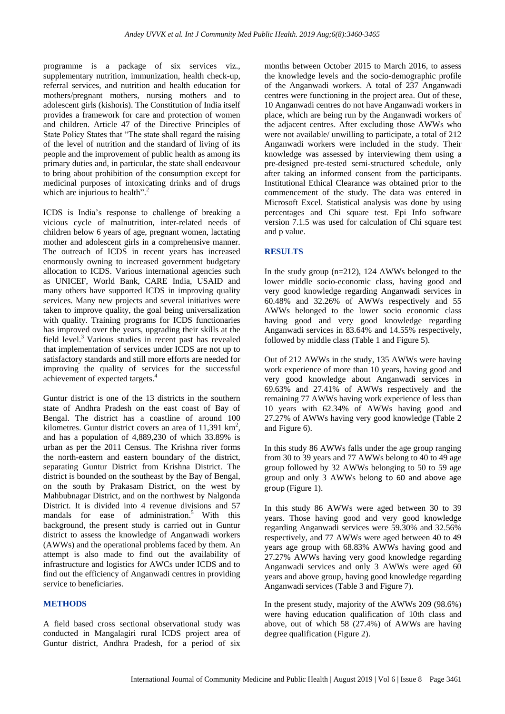programme is a package of six services viz., supplementary nutrition, immunization, health check-up, referral services, and nutrition and health education for mothers/pregnant mothers, nursing mothers and to adolescent girls (kishoris). The Constitution of India itself provides a framework for care and protection of women and children. Article 47 of the Directive Principles of State Policy States that "The state shall regard the raising of the level of nutrition and the standard of living of its people and the improvement of public health as among its primary duties and, in particular, the state shall endeavour to bring about prohibition of the consumption except for medicinal purposes of intoxicating drinks and of drugs which are injurious to health".<sup>2</sup>

ICDS is India's response to challenge of breaking a vicious cycle of malnutrition, inter-related needs of children below 6 years of age, pregnant women, lactating mother and adolescent girls in a comprehensive manner. The outreach of ICDS in recent years has increased enormously owning to increased government budgetary allocation to ICDS. Various international agencies such as UNICEF, World Bank, CARE India, USAID and many others have supported ICDS in improving quality services. Many new projects and several initiatives were taken to improve quality, the goal being universalization with quality. Training programs for ICDS functionaries has improved over the years, upgrading their skills at the field level. $3$  Various studies in recent past has revealed that implementation of services under ICDS are not up to satisfactory standards and still more efforts are needed for improving the quality of services for the successful achievement of expected targets.<sup>4</sup>

Guntur district is one of the 13 districts in the southern state of Andhra Pradesh on the east coast of Bay of Bengal. The district has a coastline of around 100 kilometres. Guntur district covers an area of  $11,391$  km<sup>2</sup>, and has a population of 4,889,230 of which 33.89% is urban as per the 2011 Census. The Krishna river forms the north-eastern and eastern boundary of the district, separating Guntur District from Krishna District. The district is bounded on the southeast by the Bay of Bengal, on the south by Prakasam District, on the west by Mahbubnagar District, and on the northwest by Nalgonda District. It is divided into 4 revenue divisions and 57 mandals for ease of administration.<sup>5</sup> With this background, the present study is carried out in Guntur district to assess the knowledge of Anganwadi workers (AWWs) and the operational problems faced by them. An attempt is also made to find out the availability of infrastructure and logistics for AWCs under ICDS and to find out the efficiency of Anganwadi centres in providing service to beneficiaries.

## **METHODS**

A field based cross sectional observational study was conducted in Mangalagiri rural ICDS project area of Guntur district, Andhra Pradesh, for a period of six months between October 2015 to March 2016, to assess the knowledge levels and the socio-demographic profile of the Anganwadi workers. A total of 237 Anganwadi centres were functioning in the project area. Out of these, 10 Anganwadi centres do not have Anganwadi workers in place, which are being run by the Anganwadi workers of the adjacent centres. After excluding those AWWs who were not available/ unwilling to participate, a total of 212 Anganwadi workers were included in the study. Their knowledge was assessed by interviewing them using a pre-designed pre-tested semi-structured schedule, only after taking an informed consent from the participants. Institutional Ethical Clearance was obtained prior to the commencement of the study. The data was entered in Microsoft Excel. Statistical analysis was done by using percentages and Chi square test. Epi Info software version 7.1.5 was used for calculation of Chi square test and p value.

## **RESULTS**

In the study group (n=212), 124 AWWs belonged to the lower middle socio-economic class, having good and very good knowledge regarding Anganwadi services in 60.48% and 32.26% of AWWs respectively and 55 AWWs belonged to the lower socio economic class having good and very good knowledge regarding Anganwadi services in 83.64% and 14.55% respectively, followed by middle class (Table 1 and Figure 5).

Out of 212 AWWs in the study, 135 AWWs were having work experience of more than 10 years, having good and very good knowledge about Anganwadi services in 69.63% and 27.41% of AWWs respectively and the remaining 77 AWWs having work experience of less than 10 years with 62.34% of AWWs having good and 27.27% of AWWs having very good knowledge (Table 2 and Figure 6).

In this study 86 AWWs falls under the age group ranging from 30 to 39 years and 77 AWWs belong to 40 to 49 age group followed by 32 AWWs belonging to 50 to 59 age group and only 3 AWWs belong to 60 and above age group (Figure 1).

In this study 86 AWWs were aged between 30 to 39 years. Those having good and very good knowledge regarding Anganwadi services were 59.30% and 32.56% respectively, and 77 AWWs were aged between 40 to 49 years age group with 68.83% AWWs having good and 27.27% AWWs having very good knowledge regarding Anganwadi services and only 3 AWWs were aged 60 years and above group, having good knowledge regarding Anganwadi services (Table 3 and Figure 7).

In the present study, majority of the AWWs 209 (98.6%) were having education qualification of 10th class and above, out of which 58 (27.4%) of AWWs are having degree qualification (Figure 2).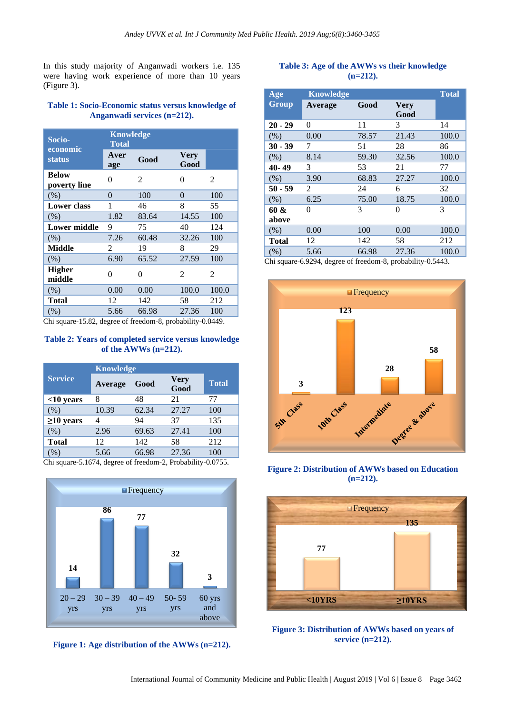In this study majority of Anganwadi workers i.e. 135 were having work experience of more than 10 years (Figure 3).

## **Table 1: Socio-Economic status versus knowledge of Anganwadi services (n=212).**

| Socio-                       | <b>Knowledge</b><br><b>Total</b> |       |                     |       |
|------------------------------|----------------------------------|-------|---------------------|-------|
| economic<br><b>status</b>    | Aver<br>age                      | Good  | <b>Very</b><br>Good |       |
| <b>Below</b><br>poverty line | 0                                | 2     | 0                   | 2     |
| (% )                         | 0                                | 100   | $\theta$            | 100   |
| <b>Lower class</b>           | 1                                | 46    | 8                   | 55    |
| (% )                         | 1.82                             | 83.64 | 14.55               | 100   |
| <b>Lower middle</b>          | 9                                | 75    | 40                  | 124   |
| (% )                         | 7.26                             | 60.48 | 32.26               | 100   |
| <b>Middle</b>                | 2                                | 19    | 8                   | 29    |
| (% )                         | 6.90                             | 65.52 | 27.59               | 100   |
| <b>Higher</b><br>middle      | 0                                | 0     | 2                   | 2     |
| (% )                         | 0.00                             | 0.00  | 100.0               | 100.0 |
| Total                        | 12                               | 142   | 58                  | 212   |
| (% )                         | 5.66                             | 66.98 | 27.36               | 100   |

Chi square-15.82, degree of freedom-8, probability-0.0449.

## **Table 2: Years of completed service versus knowledge of the AWWs (n=212).**

|                 | <b>Knowledge</b> |       |                     |              |  |
|-----------------|------------------|-------|---------------------|--------------|--|
| <b>Service</b>  | Average          | Good  | <b>Very</b><br>Good | <b>Total</b> |  |
| $<$ 10 years    | 8                | 48    | 21                  | 77           |  |
| (% )            | 10.39            | 62.34 | 27.27               | 100          |  |
| $\geq$ 10 years |                  | 94    | 37                  | 135          |  |
| (% )            | 2.96             | 69.63 | 27.41               | 100          |  |
| <b>Total</b>    | 12               | 142   | 58                  | 212          |  |
| %               | 5.66             | 66.98 | 27.36               | 100          |  |

Chi square-5.1674, degree of freedom-2, Probability-0.0755.



**Figure 1: Age distribution of the AWWs (n=212).**

## **Table 3: Age of the AWWs vs their knowledge (n=212).**

| Age       | <b>Knowledge</b> |       |                     | <b>Total</b> |
|-----------|------------------|-------|---------------------|--------------|
| Group     | Average          | Good  | <b>Very</b><br>Good |              |
| $20 - 29$ | $\theta$         | 11    | 3                   | 14           |
| (% )      | 0.00             | 78.57 | 21.43               | 100.0        |
| $30 - 39$ | 7                | 51    | 28                  | 86           |
| (% )      | 8.14             | 59.30 | 32.56               | 100.0        |
| 40-49     | 3                | 53    | 21                  | 77           |
| (% )      | 3.90             | 68.83 | 27.27               | 100.0        |
| $50 - 59$ | 2                | 24    | 6                   | 32           |
| (% )      | 6.25             | 75.00 | 18.75               | 100.0        |
| 60 &      | $\theta$         | 3     | 0                   | 3            |
| above     |                  |       |                     |              |
| (% )      | 0.00             | 100   | 0.00                | 100.0        |
| Total     | 12               | 142   | 58                  | 212          |
| (% )      | 5.66             | 66.98 | 27.36               | 100.0        |

Chi square-6.9294, degree of freedom-8, probability-0.5443.



**Figure 2: Distribution of AWWs based on Education (n=212).**



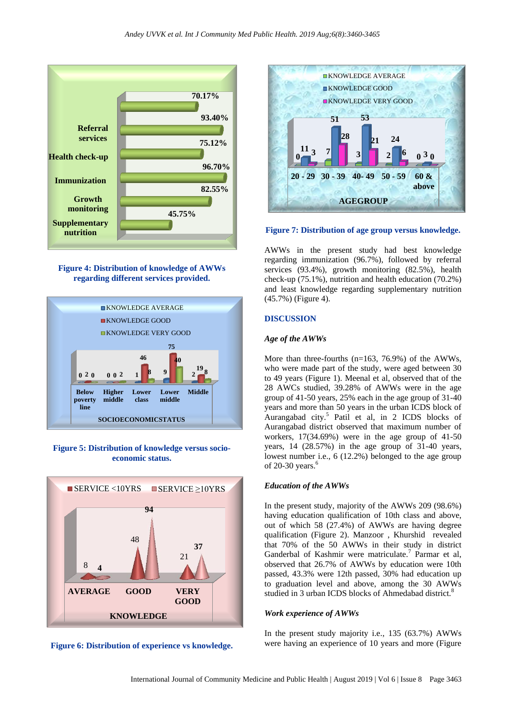

**Figure 4: Distribution of knowledge of AWWs regarding different services provided.**



## **Figure 5: Distribution of knowledge versus socioeconomic status.**



**Figure 6: Distribution of experience vs knowledge.**



#### **Figure 7: Distribution of age group versus knowledge.**

AWWs in the present study had best knowledge regarding immunization (96.7%), followed by referral services (93.4%), growth monitoring (82.5%), health check-up (75.1%), nutrition and health education (70.2%) and least knowledge regarding supplementary nutrition (45.7%) (Figure 4).

#### **DISCUSSION**

#### *Age of the AWWs*

More than three-fourths (n=163, 76.9%) of the AWWs, who were made part of the study, were aged between 30 to 49 years (Figure 1). Meenal et al, observed that of the 28 AWCs studied, 39.28% of AWWs were in the age group of 41-50 years, 25% each in the age group of 31-40 years and more than 50 years in the urban ICDS block of Aurangabad city.<sup>5</sup> Patil et al, in 2 ICDS blocks of Aurangabad district observed that maximum number of workers, 17(34.69%) were in the age group of 41-50 years, 14 (28.57%) in the age group of 31-40 years, lowest number i.e., 6 (12.2%) belonged to the age group of 20-30 years. $6$ 

#### *Education of the AWWs*

In the present study, majority of the AWWs 209 (98.6%) having education qualification of 10th class and above. out of which 58 (27.4%) of AWWs are having degree qualification (Figure 2). Manzoor , Khurshid revealed that 70% of the 50 AWWs in their study in district Ganderbal of Kashmir were matriculate.<sup>7</sup> Parmar et al, observed that 26.7% of AWWs by education were 10th passed, 43.3% were 12th passed, 30% had education up to graduation level and above, among the 30 AWWs studied in 3 urban ICDS blocks of Ahmedabad district.<sup>8</sup>

#### *Work experience of AWWs*

In the present study majority i.e., 135 (63.7%) AWWs were having an experience of 10 years and more (Figure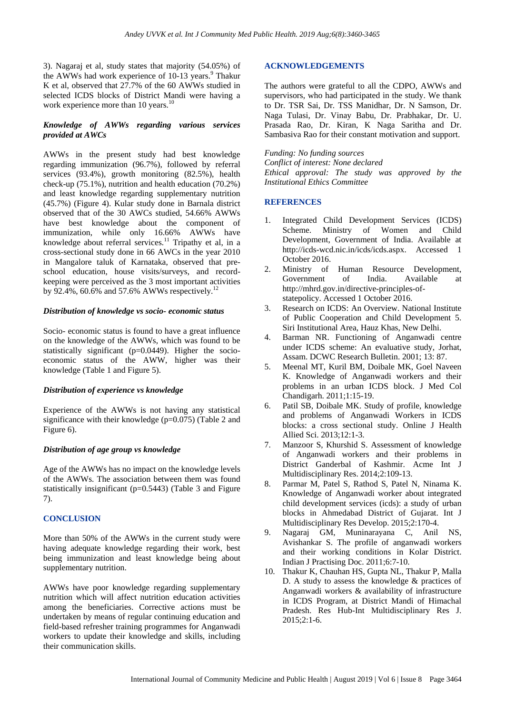3). Nagaraj et al, study states that majority (54.05%) of the AWWs had work experience of  $10-13$  years.<sup>9</sup> Thakur K et al, observed that 27.7% of the 60 AWWs studied in selected ICDS blocks of District Mandi were having a work experience more than 10 years.<sup>10</sup>

## *Knowledge of AWWs regarding various services provided at AWCs*

AWWs in the present study had best knowledge regarding immunization (96.7%), followed by referral services (93.4%), growth monitoring (82.5%), health check-up (75.1%), nutrition and health education (70.2%) and least knowledge regarding supplementary nutrition (45.7%) (Figure 4). Kular study done in Barnala district observed that of the 30 AWCs studied, 54.66% AWWs have best knowledge about the component of immunization, while only 16.66% AWWs have knowledge about referral services.<sup>11</sup> Tripathy et al, in a cross-sectional study done in 66 AWCs in the year 2010 in Mangalore taluk of Karnataka, observed that preschool education, house visits/surveys, and recordkeeping were perceived as the 3 most important activities by 92.4%, 60.6% and 57.6% AWWs respectively.<sup>12</sup>

## *Distribution of knowledge vs socio- economic status*

Socio- economic status is found to have a great influence on the knowledge of the AWWs, which was found to be statistically significant (p=0.0449). Higher the socioeconomic status of the AWW, higher was their knowledge (Table 1 and Figure 5).

## *Distribution of experience vs knowledge*

Experience of the AWWs is not having any statistical significance with their knowledge (p=0.075) (Table 2 and Figure 6).

## *Distribution of age group vs knowledge*

Age of the AWWs has no impact on the knowledge levels of the AWWs. The association between them was found statistically insignificant (p=0.5443) (Table 3 and Figure 7).

## **CONCLUSION**

More than 50% of the AWWs in the current study were having adequate knowledge regarding their work, best being immunization and least knowledge being about supplementary nutrition.

AWWs have poor knowledge regarding supplementary nutrition which will affect nutrition education activities among the beneficiaries. Corrective actions must be undertaken by means of regular continuing education and field-based refresher training programmes for Anganwadi workers to update their knowledge and skills, including their communication skills.

## **ACKNOWLEDGEMENTS**

The authors were grateful to all the CDPO, AWWs and supervisors, who had participated in the study. We thank to Dr. TSR Sai, Dr. TSS Manidhar, Dr. N Samson, Dr. Naga Tulasi, Dr. Vinay Babu, Dr. Prabhakar, Dr. U. Prasada Rao, Dr. Kiran, K Naga Saritha and Dr. Sambasiva Rao for their constant motivation and support.

*Funding: No funding sources Conflict of interest: None declared Ethical approval: The study was approved by the Institutional Ethics Committee*

## **REFERENCES**

- 1. Integrated Child Development Services (ICDS) Scheme. Ministry of Women and Child Development, Government of India. Available at [http://icds-wcd.nic.in/icds/icds.aspx.](http://icds-wcd.nic.in/icds/icds.aspx) Accessed 1 October 2016.
- 2. Ministry of Human Resource Development, Government of India. Available at http://mhrd.gov.in/directive-principles-ofstatepolicy. Accessed 1 October 2016.
- 3. Research on ICDS: An Overview. National Institute of Public Cooperation and Child Development 5. Siri Institutional Area, Hauz Khas, New Delhi.
- 4. Barman NR. Functioning of Anganwadi centre under ICDS scheme: An evaluative study, Jorhat, Assam. DCWC Research Bulletin. 2001; 13: 87.
- 5. Meenal MT, Kuril BM, Doibale MK, Goel Naveen K. Knowledge of Anganwadi workers and their problems in an urban ICDS block. J Med Col Chandigarh. 2011;1:15-19.
- 6. Patil SB, Doibale MK. Study of profile, knowledge and problems of Anganwadi Workers in ICDS blocks: a cross sectional study. Online J Health Allied Sci. 2013;12:1-3.
- 7. Manzoor S, Khurshid S. Assessment of knowledge of Anganwadi workers and their problems in District Ganderbal of Kashmir. Acme Int J Multidisciplinary Res. 2014;2:109-13.
- 8. Parmar M, Patel S, Rathod S, Patel N, Ninama K. Knowledge of Anganwadi worker about integrated child development services (icds): a study of urban blocks in Ahmedabad District of Gujarat. Int J Multidisciplinary Res Develop. 2015;2:170-4.
- 9. Nagaraj GM, Muninarayana C, Anil NS, Avishankar S. The profile of anganwadi workers and their working conditions in Kolar District. Indian J Practising Doc. 2011;6:7-10.
- 10. Thakur K, Chauhan HS, Gupta NL, Thakur P, Malla D. A study to assess the knowledge & practices of Anganwadi workers & availability of infrastructure in ICDS Program, at District Mandi of Himachal Pradesh. Res Hub-Int Multidisciplinary Res J. 2015;2:1-6.